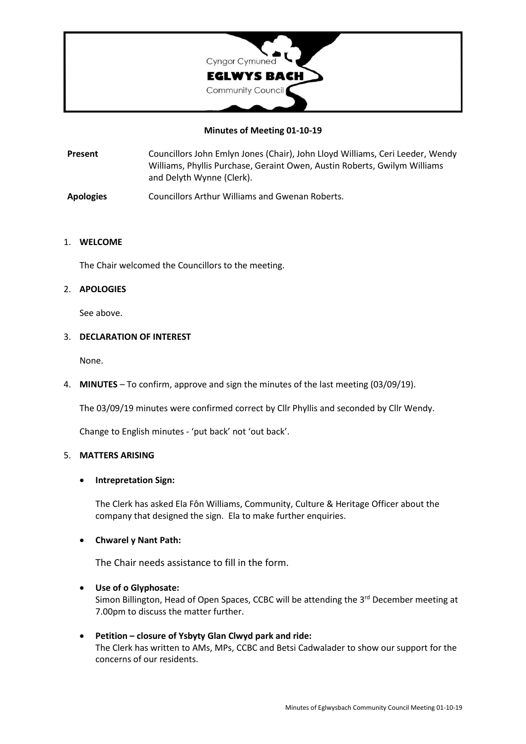

#### **Minutes of Meeting 01-10-19**

**Present** Councillors John Emlyn Jones (Chair), John Lloyd Williams, Ceri Leeder, Wendy Williams, Phyllis Purchase, Geraint Owen, Austin Roberts, Gwilym Williams and Delyth Wynne (Clerk).

**Apologies** Councillors Arthur Williams and Gwenan Roberts.

#### 1. **WELCOME**

The Chair welcomed the Councillors to the meeting.

#### 2. **APOLOGIES**

See above.

#### 3. **DECLARATION OF INTEREST**

None.

4. **MINUTES** – To confirm, approve and sign the minutes of the last meeting (03/09/19).

The 03/09/19 minutes were confirmed correct by Cllr Phyllis and seconded by Cllr Wendy.

Change to English minutes - 'put back' not 'out back'.

#### 5. **MATTERS ARISING**

#### • **Intrepretation Sign:**

The Clerk has asked Ela Fôn Williams, Community, Culture & Heritage Officer about the company that designed the sign. Ela to make further enquiries.

#### • **Chwarel y Nant Path:**

The Chair needs assistance to fill in the form.

#### • **Use of o Glyphosate:**

Simon Billington, Head of Open Spaces, CCBC will be attending the 3<sup>rd</sup> December meeting at 7.00pm to discuss the matter further.

#### • **Petition – closure of Ysbyty Glan Clwyd park and ride:**

The Clerk has written to AMs, MPs, CCBC and Betsi Cadwalader to show our support for the concerns of our residents.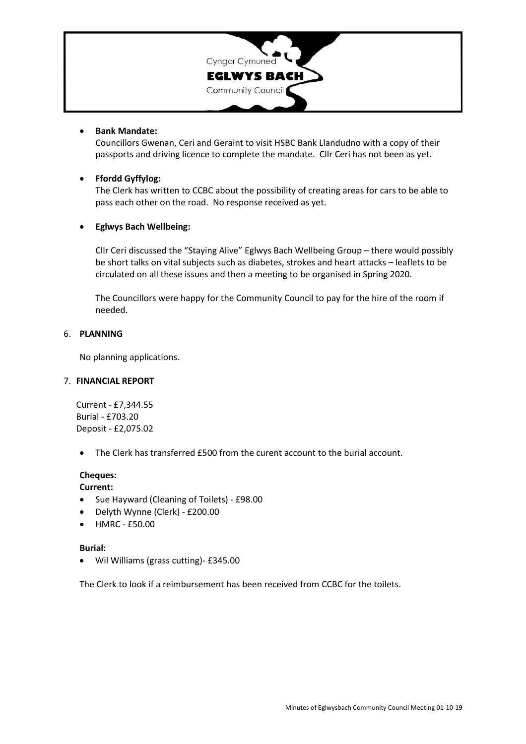

#### • **Bank Mandate:**

Councillors Gwenan, Ceri and Geraint to visit HSBC Bank Llandudno with a copy of their passports and driving licence to complete the mandate. Cllr Ceri has not been as yet.

## • **Ffordd Gyffylog:**

The Clerk has written to CCBC about the possibility of creating areas for cars to be able to pass each other on the road. No response received as yet.

## • **Eglwys Bach Wellbeing:**

Cllr Ceri discussed the "Staying Alive" Eglwys Bach Wellbeing Group – there would possibly be short talks on vital subjects such as diabetes, strokes and heart attacks – leaflets to be circulated on all these issues and then a meeting to be organised in Spring 2020.

The Councillors were happy for the Community Council to pay for the hire of the room if needed.

## 6. **PLANNING**

No planning applications.

#### 7. **FINANCIAL REPORT**

Current - £7,344.55 Burial - £703.20 Deposit - £2,075.02

The Clerk has transferred £500 from the curent account to the burial account.

#### **Cheques:**

**Current:**

- Sue Hayward (Cleaning of Toilets) £98.00
- Delyth Wynne (Clerk) £200.00
- HMRC £50.00

#### **Burial:**

• Wil Williams (grass cutting)- £345.00

The Clerk to look if a reimbursement has been received from CCBC for the toilets.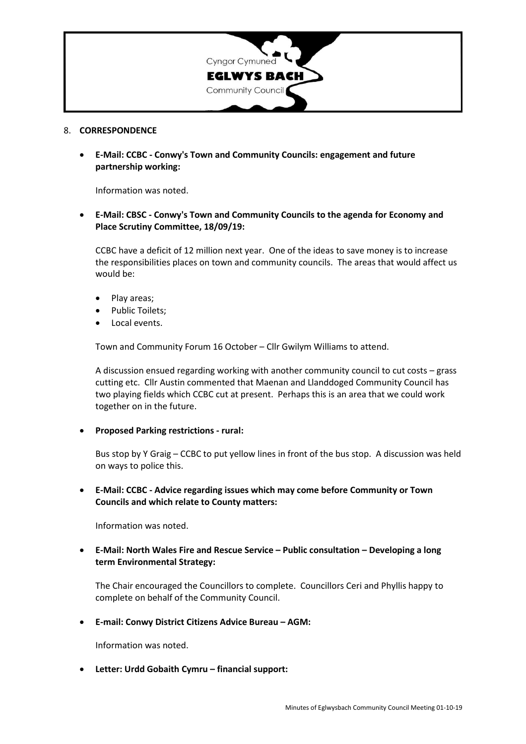

#### 8. **CORRESPONDENCE**

• **E-Mail: CCBC - Conwy's Town and Community Councils: engagement and future partnership working:**

Information was noted.

• **E-Mail: CBSC - Conwy's Town and Community Councils to the agenda for Economy and Place Scrutiny Committee, 18/09/19:**

CCBC have a deficit of 12 million next year. One of the ideas to save money is to increase the responsibilities places on town and community councils. The areas that would affect us would be:

- Play areas;
- Public Toilets;
- Local events.

Town and Community Forum 16 October – Cllr Gwilym Williams to attend.

A discussion ensued regarding working with another community council to cut costs – grass cutting etc. Cllr Austin commented that Maenan and Llanddoged Community Council has two playing fields which CCBC cut at present. Perhaps this is an area that we could work together on in the future.

• **Proposed Parking restrictions - rural:**

Bus stop by Y Graig – CCBC to put yellow lines in front of the bus stop. A discussion was held on ways to police this.

• **E-Mail: CCBC - Advice regarding issues which may come before Community or Town Councils and which relate to County matters:**

Information was noted.

• **E-Mail: North Wales Fire and Rescue Service – Public consultation – Developing a long term Environmental Strategy:**

The Chair encouraged the Councillors to complete. Councillors Ceri and Phyllis happy to complete on behalf of the Community Council.

• **E-mail: Conwy District Citizens Advice Bureau – AGM:**

Information was noted.

• **Letter: Urdd Gobaith Cymru – financial support:**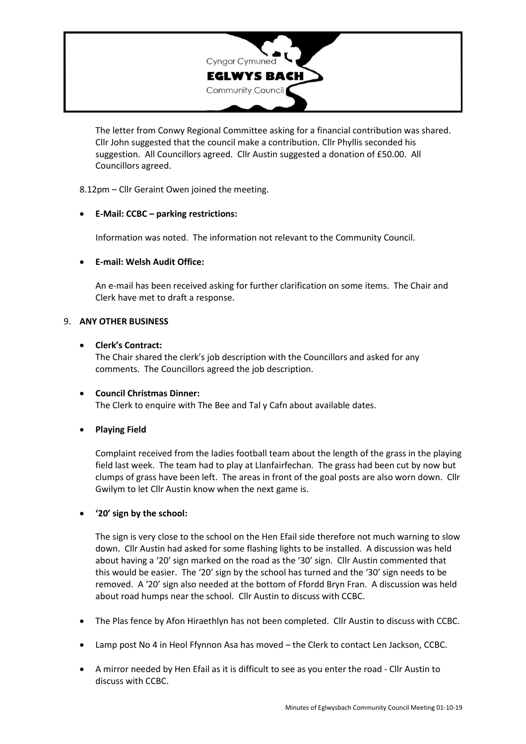

The letter from Conwy Regional Committee asking for a financial contribution was shared. Cllr John suggested that the council make a contribution. Cllr Phyllis seconded his suggestion. All Councillors agreed. Cllr Austin suggested a donation of £50.00. All Councillors agreed.

8.12pm – Cllr Geraint Owen joined the meeting.

# • **E-Mail: CCBC – parking restrictions:**

Information was noted. The information not relevant to the Community Council.

# • **E-mail: Welsh Audit Office:**

An e-mail has been received asking for further clarification on some items. The Chair and Clerk have met to draft a response.

#### 9. **ANY OTHER BUSINESS**

#### • **Clerk's Contract:**

The Chair shared the clerk's job description with the Councillors and asked for any comments. The Councillors agreed the job description.

# • **Council Christmas Dinner:** The Clerk to enquire with The Bee and Tal y Cafn about available dates.

# • **Playing Field**

Complaint received from the ladies football team about the length of the grass in the playing field last week. The team had to play at Llanfairfechan. The grass had been cut by now but clumps of grass have been left. The areas in front of the goal posts are also worn down. Cllr Gwilym to let Cllr Austin know when the next game is.

#### • **'20' sign by the school:**

The sign is very close to the school on the Hen Efail side therefore not much warning to slow down. Cllr Austin had asked for some flashing lights to be installed. A discussion was held about having a '20' sign marked on the road as the '30' sign. Cllr Austin commented that this would be easier. The '20' sign by the school has turned and the '30' sign needs to be removed. A '20' sign also needed at the bottom of Ffordd Bryn Fran. A discussion was held about road humps near the school. Cllr Austin to discuss with CCBC.

- The Plas fence by Afon Hiraethlyn has not been completed. Cllr Austin to discuss with CCBC.
- Lamp post No 4 in Heol Ffynnon Asa has moved the Clerk to contact Len Jackson, CCBC.
- A mirror needed by Hen Efail as it is difficult to see as you enter the road Cllr Austin to discuss with CCBC.